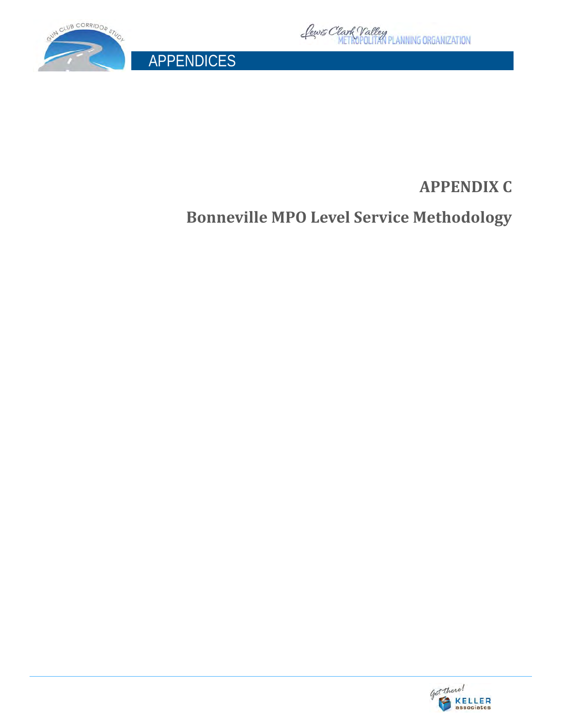

APPENDICES



## **APPENDIX C**

**Bonneville MPO Level Service Methodology**